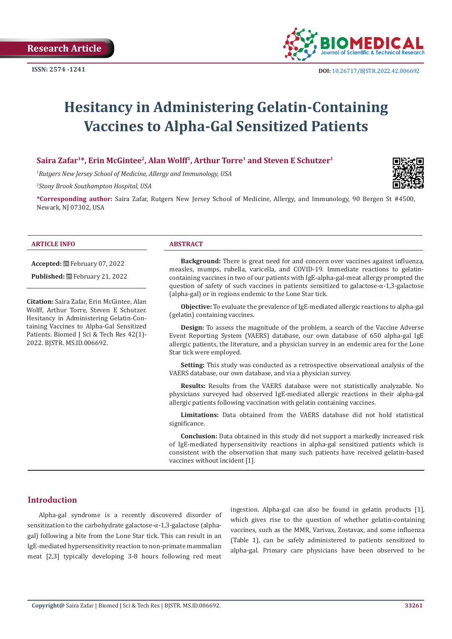

# **Hesitancy in Administering Gelatin-Containing Vaccines to Alpha-Gal Sensitized Patients**

#### Saira Zafar<sup>1\*</sup>, Erin McGintee<sup>2</sup>, Alan Wolff<sup>1</sup>, Arthur Torre<sup>1</sup> and Steven E Schutzer<sup>1</sup>

*1 Rutgers New Jersey School of Medicine, Allergy and Immunology, USA* 

*2 Stony Brook Southampton Hospital, USA*

**\*Corresponding author:** Saira Zafar, Rutgers New Jersey School of Medicine, Allergy, and Immunology, 90 Bergen St #4500, Newark, NJ 07302, USA

#### **ARTICLE INFO ABSTRACT**

**Accepted:** February 07, 2022

**Published:** February 21, 2022

**Citation:** Saira Zafar, Erin McGintee, Alan Wolff, Arthur Torre, Steven E Schutzer. Hesitancy in Administering Gelatin-Containing Vaccines to Alpha-Gal Sensitized Patients. Biomed J Sci & Tech Res 42(1)- 2022. BJSTR. MS.ID.006692.

**Background:** There is great need for and concern over vaccines against influenza, measles, mumps, rubella, varicella, and COVID-19. Immediate reactions to gelatincontaining vaccines in two of our patients with IgE-alpha-gal-meat allergy prompted the question of safety of such vaccines in patients sensitized to galactose-α-1,3-galactose (alpha-gal) or in regions endemic to the Lone Star tick.

**Objective:** To evaluate the prevalence of IgE-mediated allergic reactions to alpha-gal (gelatin) containing vaccines.

**Design:** To assess the magnitude of the problem, a search of the Vaccine Adverse Event Reporting System (VAERS) database, our own database of 650 alpha-gal IgE allergic patients, the literature, and a physician survey in an endemic area for the Lone Star tick were employed.

**Setting:** This study was conducted as a retrospective observational analysis of the VAERS database, our own database, and via a physician survey.

**Results:** Results from the VAERS database were not statistically analyzable. No physicians surveyed had observed IgE-mediated allergic reactions in their alpha-gal allergic patients following vaccination with gelatin containing vaccines.

**Limitations:** Data obtained from the VAERS database did not hold statistical significance.

**Conclusion:** Data obtained in this study did not support a markedly increased risk of IgE-mediated hypersensitivity reactions in alpha-gal sensitized patients which is consistent with the observation that many such patients have received gelatin-based vaccines without incident [1].

#### **Introduction**

Alpha-gal syndrome is a recently discovered disorder of sensitization to the carbohydrate galactose-α-1,3-galactose (alphagal) following a bite from the Lone Star tick. This can result in an IgE-mediated hypersensitivity reaction to non-primate mammalian meat [2,3] typically developing 3-8 hours following red meat

ingestion. Alpha-gal can also be found in gelatin products [1], which gives rise to the question of whether gelatin-containing vaccines, such as the MMR, Varivax, Zostavax, and some influenza (Table 1), can be safely administered to patients sensitized to alpha-gal. Primary care physicians have been observed to be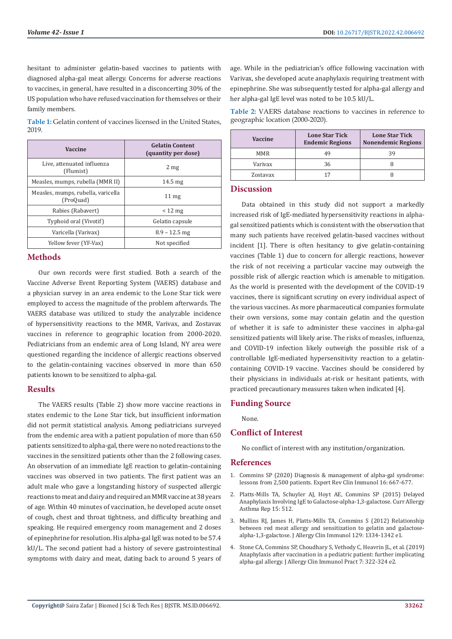hesitant to administer gelatin-based vaccines to patients with diagnosed alpha-gal meat allergy. Concerns for adverse reactions to vaccines, in general, have resulted in a disconcerting 30% of the US population who have refused vaccination for themselves or their family members.

**Table 1:** Gelatin content of vaccines licensed in the United States, 2019.

| Vaccine                                         | <b>Gelatin Content</b><br>(quantity per dose) |
|-------------------------------------------------|-----------------------------------------------|
| Live, attenuated influenza<br>(Flumist)         | 2 <sub>mg</sub>                               |
| Measles, mumps, rubella (MMR II)                | $14.5 \text{ mg}$                             |
| Measles, mumps, rubella, varicella<br>(ProQuad) | $11 \,\mathrm{mg}$                            |
| Rabies (Rabavert)                               | $< 12 \text{ mg}$                             |
| Typhoid oral (Vivotif)                          | Gelatin capsule                               |
| Varicella (Varivax)                             | $8.9 - 12.5$ mg                               |
| Yellow fever (YF-Vax)                           | Not specified                                 |

#### **Methods**

Our own records were first studied. Both a search of the Vaccine Adverse Event Reporting System (VAERS) database and a physician survey in an area endemic to the Lone Star tick were employed to access the magnitude of the problem afterwards. The VAERS database was utilized to study the analyzable incidence of hypersensitivity reactions to the MMR, Varivax, and Zostavax vaccines in reference to geographic location from 2000-2020. Pediatricians from an endemic area of Long Island, NY area were questioned regarding the incidence of allergic reactions observed to the gelatin-containing vaccines observed in more than 650 patients known to be sensitized to alpha-gal.

## **Results**

The VAERS results (Table 2) show more vaccine reactions in states endemic to the Lone Star tick, but insufficient information did not permit statistical analysis. Among pediatricians surveyed from the endemic area with a patient population of more than 650 patients sensitized to alpha-gal, there were no noted reactions to the vaccines in the sensitized patients other than the 2 following cases. An observation of an immediate IgE reaction to gelatin-containing vaccines was observed in two patients. The first patient was an adult male who gave a longstanding history of suspected allergic reactions to meat and dairy and required an MMR vaccine at 38 years of age. Within 40 minutes of vaccination, he developed acute onset of cough, chest and throat tightness, and difficulty breathing and speaking. He required emergency room management and 2 doses of epinephrine for resolution. His alpha-gal IgE was noted to be 57.4 kU/L. The second patient had a history of severe gastrointestinal symptoms with dairy and meat, dating back to around 5 years of age. While in the pediatrician's office following vaccination with Varivax, she developed acute anaphylaxis requiring treatment with epinephrine. She was subsequently tested for alpha-gal allergy and her alpha-gal IgE level was noted to be 10.5 kU/L.

**Table 2:** VAERS database reactions to vaccines in reference to geographic location (2000-2020).

| Vaccine    | <b>Lone Star Tick</b><br><b>Endemic Regions</b> | <b>Lone Star Tick</b><br><b>Nonendemic Regions</b> |
|------------|-------------------------------------------------|----------------------------------------------------|
| <b>MMR</b> | 49                                              | 39                                                 |
| Variyax    | 36                                              |                                                    |
| Zostavax   |                                                 |                                                    |

#### **Discussion**

Data obtained in this study did not support a markedly increased risk of IgE-mediated hypersensitivity reactions in alphagal sensitized patients which is consistent with the observation that many such patients have received gelatin-based vaccines without incident [1]. There is often hesitancy to give gelatin-containing vaccines (Table 1) due to concern for allergic reactions, however the risk of not receiving a particular vaccine may outweigh the possible risk of allergic reaction which is amenable to mitigation. As the world is presented with the development of the COVID-19 vaccines, there is significant scrutiny on every individual aspect of the various vaccines. As more pharmaceutical companies formulate their own versions, some may contain gelatin and the question of whether it is safe to administer these vaccines in alpha-gal sensitized patients will likely arise. The risks of measles, influenza, and COVID-19 infection likely outweigh the possible risk of a controllable IgE-mediated hypersensitivity reaction to a gelatincontaining COVID-19 vaccine. Vaccines should be considered by their physicians in individuals at-risk or hesitant patients, with practiced precautionary measures taken when indicated [4].

## **Funding Source**

None.

## **Conflict of Interest**

No conflict of interest with any institution/organization.

#### **References**

- 1. [Commins SP \(2020\) Diagnosis & management of alpha-gal syndrome:](https://pubmed.ncbi.nlm.nih.gov/32571129/) [lessons from 2,500 patients. Expert Rev Clin Immunol 16: 667-677.](https://pubmed.ncbi.nlm.nih.gov/32571129/)
- 2. [Platts-Mills TA, Schuyler AJ, Hoyt AE, Commins SP \(2015\) Delayed](https://www.ncbi.nlm.nih.gov/pmc/articles/PMC4525710/) [Anaphylaxis Involving IgE to Galactose-alpha-1,3-galactose. Curr Allergy](https://www.ncbi.nlm.nih.gov/pmc/articles/PMC4525710/) [Asthma Rep 15: 512.](https://www.ncbi.nlm.nih.gov/pmc/articles/PMC4525710/)
- 3. [Mullins RJ, James H, Platts-Mills TA, Commins S \(2012\) Relationship](https://pubmed.ncbi.nlm.nih.gov/22480538/) [between red meat allergy and sensitization to gelatin and galactose](https://pubmed.ncbi.nlm.nih.gov/22480538/)[alpha-1,3-galactose. J Allergy Clin Immunol 129: 1334-1342 e1.](https://pubmed.ncbi.nlm.nih.gov/22480538/)
- 4. [Stone CA, Commins SP, Choudhary S, Vethody C, Heavrin JL, et al. \(2019\)](https://pubmed.ncbi.nlm.nih.gov/29913263/) [Anaphylaxis after vaccination in a pediatric patient: further implicating](https://pubmed.ncbi.nlm.nih.gov/29913263/) [alpha-gal allergy. J Allergy Clin Immunol Pract 7: 322-324 e2.](https://pubmed.ncbi.nlm.nih.gov/29913263/)